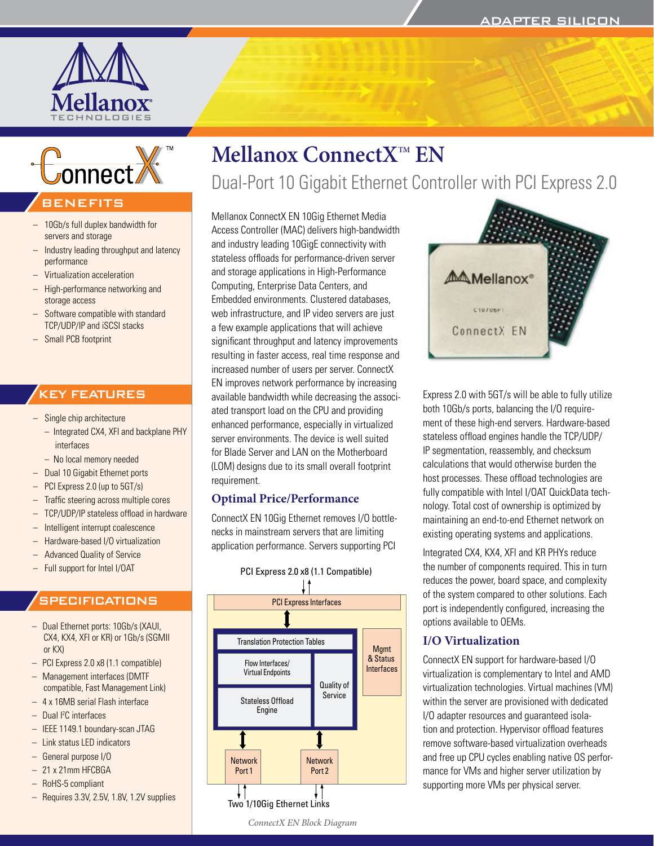



## BENEFITS

- 10Gb/s full duplex bandwidth for servers and storage
- Industry leading throughput and latency performance
- Virtualization acceleration
- High-performance networking and storage access
- Software compatible with standard TCP/UDP/IP and iSCSI stacks
- Small PCB footprint

## KEY FEATURES

- Single chip architecture
	- Integrated CX4, XFI and backplane PHY interfaces
- No local memory needed
- Dual 10 Gigabit Ethernet ports
- PCI Express 2.0 (up to 5GT/s)
- Traffic steering across multiple cores
- TCP/UDP/IP stateless offload in hardware
- Intelligent interrupt coalescence
- Hardware-based I/O virtualization
- Advanced Quality of Service
- Full support for Intel I/OAT

## **SPECIFICATIONS**

- Dual Ethernet ports: 10Gb/s (XAUI, CX4, KX4, XFI or KR) or 1Gb/s (SGMII or KX)
- PCI Express 2.0 x8 (1.1 compatible)
- Management interfaces (DMTF compatible, Fast Management Link)
- 4 x 16MB serial Flash interface
- Dual I2 C interfaces
- IEEE 1149.1 boundary-scan JTAG
- Link status LED indicators
- General purpose I/O
- 21 x 21mm HFCBGA
- RoHS-5 compliant
- Requires 3.3V, 2.5V, 1.8V, 1.2V supplies

# **Mellanox ConnectXTM EN**  Dual-Port 10 Gigabit Ethernet Controller with PCI Express 2.0

Mellanox ConnectX EN 10Gig Ethernet Media Access Controller (MAC) delivers high-bandwidth and industry leading 10GigE connectivity with stateless offloads for performance-driven server and storage applications in High-Performance Computing, Enterprise Data Centers, and Embedded environments. Clustered databases, web infrastructure, and IP video servers are just a few example applications that will achieve significant throughput and latency improvements resulting in faster access, real time response and increased number of users per server. ConnectX EN improves network performance by increasing available bandwidth while decreasing the associated transport load on the CPU and providing enhanced performance, especially in virtualized server environments. The device is well suited for Blade Server and LAN on the Motherboard (LOM) designs due to its small overall footprint requirement.

## **Optimal Price/Performance**

ConnectX EN 10Gig Ethernet removes I/O bottlenecks in mainstream servers that are limiting application performance. Servers supporting PCI





Express 2.0 with 5GT/s will be able to fully utilize both 10Gb/s ports, balancing the I/O requirement of these high-end servers. Hardware-based stateless offload engines handle the TCP/UDP/ IP segmentation, reassembly, and checksum calculations that would otherwise burden the host processes. These offload technologies are fully compatible with Intel I/OAT QuickData technology. Total cost of ownership is optimized by maintaining an end-to-end Ethernet network on existing operating systems and applications.

Integrated CX4, KX4, XFI and KR PHYs reduce the number of components required. This in turn reduces the power, board space, and complexity of the system compared to other solutions. Each port is independently configured, increasing the options available to OEMs.

## **I/O Virtualization**

ConnectX EN support for hardware-based I/O virtualization is complementary to Intel and AMD virtualization technologies. Virtual machines (VM) within the server are provisioned with dedicated I/O adapter resources and guaranteed isolation and protection. Hypervisor offload features remove software-based virtualization overheads and free up CPU cycles enabling native OS performance for VMs and higher server utilization by supporting more VMs per physical server.